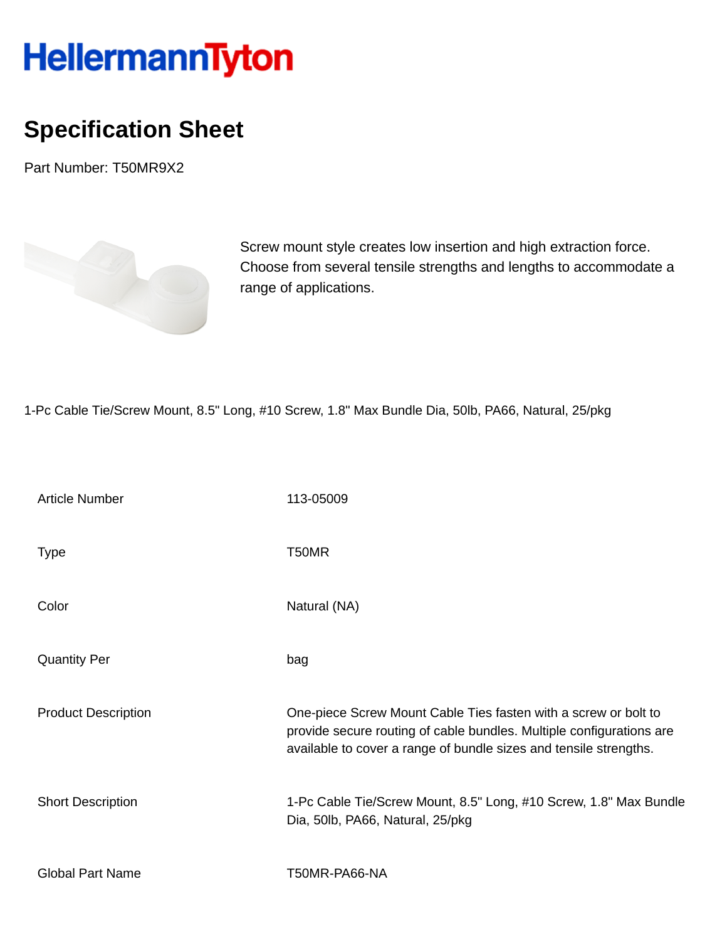## HellermannTyton

## **Specification Sheet**

Part Number: T50MR9X2



Screw mount style creates low insertion and high extraction force. Choose from several tensile strengths and lengths to accommodate a range of applications.

1-Pc Cable Tie/Screw Mount, 8.5" Long, #10 Screw, 1.8" Max Bundle Dia, 50lb, PA66, Natural, 25/pkg

| <b>Article Number</b>      | 113-05009                                                                                                                                                                                                    |
|----------------------------|--------------------------------------------------------------------------------------------------------------------------------------------------------------------------------------------------------------|
| <b>Type</b>                | T50MR                                                                                                                                                                                                        |
| Color                      | Natural (NA)                                                                                                                                                                                                 |
| <b>Quantity Per</b>        | bag                                                                                                                                                                                                          |
| <b>Product Description</b> | One-piece Screw Mount Cable Ties fasten with a screw or bolt to<br>provide secure routing of cable bundles. Multiple configurations are<br>available to cover a range of bundle sizes and tensile strengths. |
| <b>Short Description</b>   | 1-Pc Cable Tie/Screw Mount, 8.5" Long, #10 Screw, 1.8" Max Bundle<br>Dia, 50lb, PA66, Natural, 25/pkg                                                                                                        |
| <b>Global Part Name</b>    | T50MR-PA66-NA                                                                                                                                                                                                |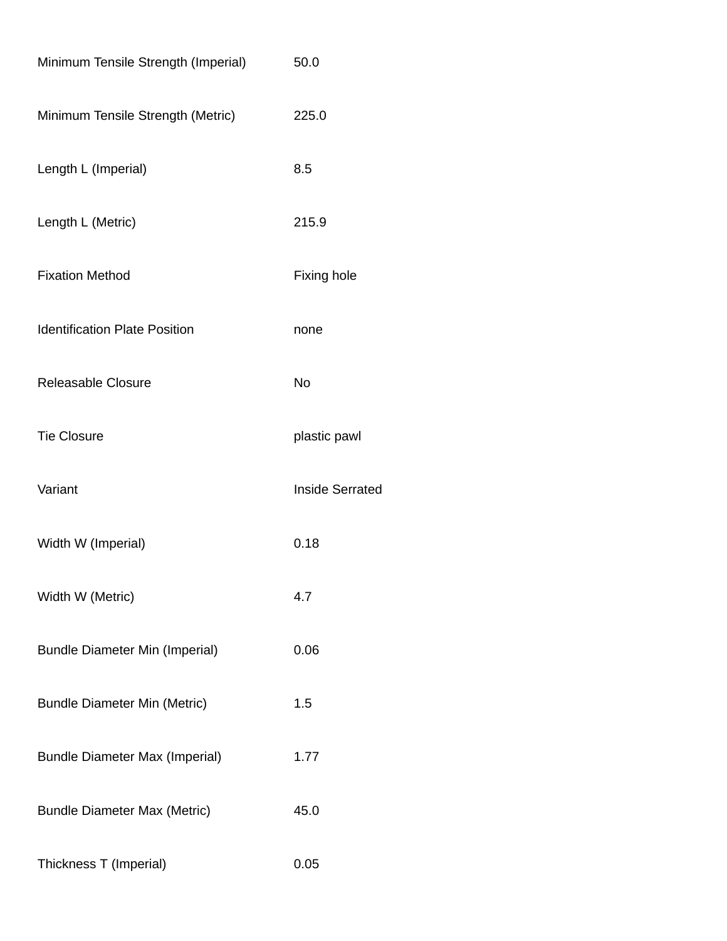| Minimum Tensile Strength (Imperial)   | 50.0                   |
|---------------------------------------|------------------------|
| Minimum Tensile Strength (Metric)     | 225.0                  |
| Length L (Imperial)                   | 8.5                    |
| Length L (Metric)                     | 215.9                  |
| <b>Fixation Method</b>                | <b>Fixing hole</b>     |
| <b>Identification Plate Position</b>  | none                   |
| <b>Releasable Closure</b>             | <b>No</b>              |
| <b>Tie Closure</b>                    | plastic pawl           |
| Variant                               | <b>Inside Serrated</b> |
| Width W (Imperial)                    | 0.18                   |
| Width W (Metric)                      | 4.7                    |
| <b>Bundle Diameter Min (Imperial)</b> | 0.06                   |
| <b>Bundle Diameter Min (Metric)</b>   | 1.5                    |
| <b>Bundle Diameter Max (Imperial)</b> | 1.77                   |
| <b>Bundle Diameter Max (Metric)</b>   | 45.0                   |
| Thickness T (Imperial)                | 0.05                   |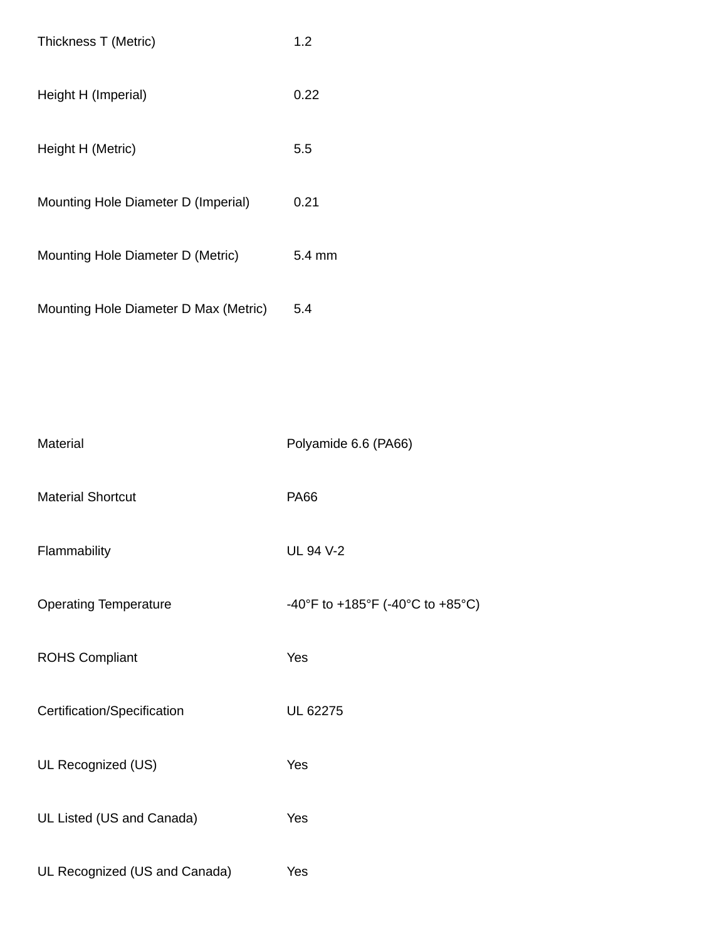| Thickness T (Metric)                  | 1.2              |
|---------------------------------------|------------------|
| Height H (Imperial)                   | 0.22             |
| Height H (Metric)                     | 5.5              |
| Mounting Hole Diameter D (Imperial)   | 0.21             |
| Mounting Hole Diameter D (Metric)     | $5.4 \text{ mm}$ |
| Mounting Hole Diameter D Max (Metric) | 5.4              |

| Material                      | Polyamide 6.6 (PA66)             |
|-------------------------------|----------------------------------|
| <b>Material Shortcut</b>      | <b>PA66</b>                      |
| Flammability                  | <b>UL 94 V-2</b>                 |
| <b>Operating Temperature</b>  | -40°F to +185°F (-40°C to +85°C) |
| <b>ROHS Compliant</b>         | Yes                              |
| Certification/Specification   | UL 62275                         |
| UL Recognized (US)            | Yes                              |
| UL Listed (US and Canada)     | Yes                              |
| UL Recognized (US and Canada) | Yes                              |